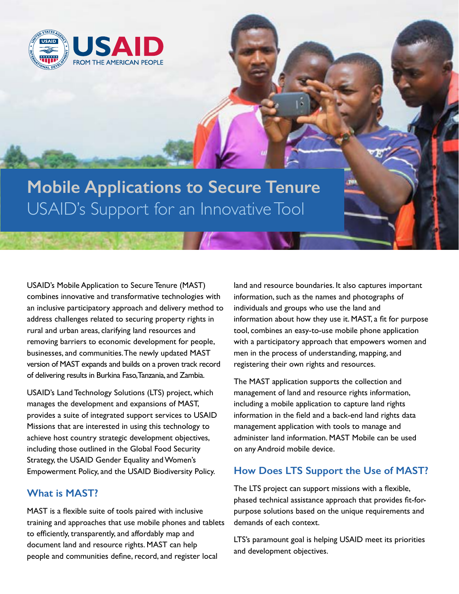

**Mobile Applications to Secure Tenure** USAID's Support for an Innovative Tool

USAID's Mobile Application to Secure Tenure (MAST) combines innovative and transformative technologies with an inclusive participatory approach and delivery method to address challenges related to securing property rights in rural and urban areas, clarifying land resources and removing barriers to economic development for people, businesses, and communities. The newly updated MAST version of MAST expands and builds on a proven track record of delivering results in Burkina Faso, Tanzania, and Zambia.

USAID's Land Technology Solutions (LTS) project, which manages the development and expansions of MAST, provides a suite of integrated support services to USAID Missions that are interested in using this technology to achieve host country strategic development objectives, including those outlined in the Global Food Security Strategy, the USAID Gender Equality and Women's Empowerment Policy, and the USAID Biodiversity Policy.

## **What is MAST?**

MAST is a flexible suite of tools paired with inclusive training and approaches that use mobile phones and tablets to efficiently, transparently, and affordably map and document land and resource rights. MAST can help people and communities define, record, and register local

land and resource boundaries. It also captures important information, such as the names and photographs of individuals and groups who use the land and information about how they use it. MAST, a fit for purpose tool, combines an easy-to-use mobile phone application with a participatory approach that empowers women and men in the process of understanding, mapping, and registering their own rights and resources.

The MAST application supports the collection and management of land and resource rights information, including a mobile application to capture land rights information in the field and a back-end land rights data management application with tools to manage and administer land information. MAST Mobile can be used on any Android mobile device.

## **How Does LTS Support the Use of MAST?**

The LTS project can support missions with a flexible, phased technical assistance approach that provides fit-forpurpose solutions based on the unique requirements and demands of each context.

LTS's paramount goal is helping USAID meet its priorities and development objectives.